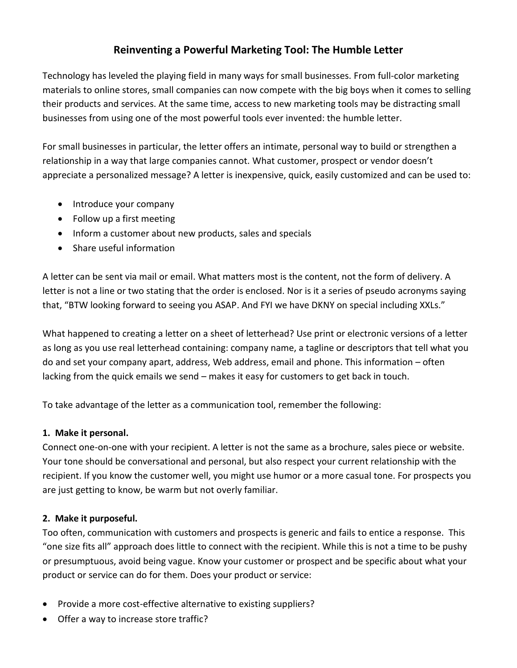# **Reinventing a Powerful Marketing Tool: The Humble Letter**

Technology has leveled the playing field in many ways for small businesses. From full-color marketing materials to online stores, small companies can now compete with the big boys when it comes to selling their products and services. At the same time, access to new marketing tools may be distracting small businesses from using one of the most powerful tools ever invented: the humble letter.

For small businesses in particular, the letter offers an intimate, personal way to build or strengthen a relationship in a way that large companies cannot. What customer, prospect or vendor doesn't appreciate a personalized message? A letter is inexpensive, quick, easily customized and can be used to:

- Introduce your company
- Follow up a first meeting
- Inform a customer about new products, sales and specials
- Share useful information

A letter can be sent via mail or email. What matters most is the content, not the form of delivery. A letter is not a line or two stating that the order is enclosed. Nor is it a series of pseudo acronyms saying that, "BTW looking forward to seeing you ASAP. And FYI we have DKNY on special including XXLs."

What happened to creating a letter on a sheet of letterhead? Use print or electronic versions of a letter as long as you use real letterhead containing: company name, a tagline or descriptors that tell what you do and set your company apart, address, Web address, email and phone. This information – often lacking from the quick emails we send – makes it easy for customers to get back in touch.

To take advantage of the letter as a communication tool, remember the following:

## **1. Make it personal.**

Connect one-on-one with your recipient. A letter is not the same as a brochure, sales piece or website. Your tone should be conversational and personal, but also respect your current relationship with the recipient. If you know the customer well, you might use humor or a more casual tone. For prospects you are just getting to know, be warm but not overly familiar.

## **2. Make it purposeful.**

Too often, communication with customers and prospects is generic and fails to entice a response. This "one size fits all" approach does little to connect with the recipient. While this is not a time to be pushy or presumptuous, avoid being vague. Know your customer or prospect and be specific about what your product or service can do for them. Does your product or service:

- Provide a more cost-effective alternative to existing suppliers?
- Offer a way to increase store traffic?